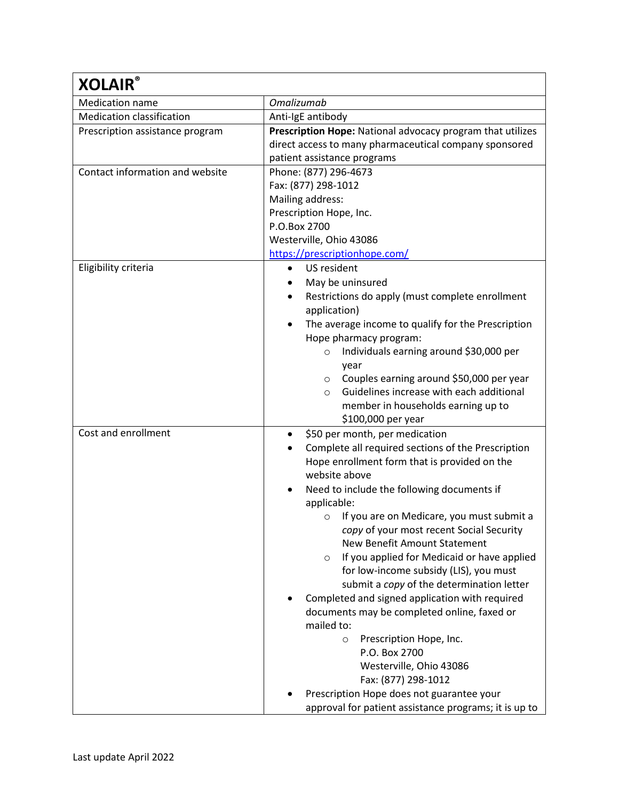| <b>XOLAIR®</b>                   |                                                                 |
|----------------------------------|-----------------------------------------------------------------|
| <b>Medication name</b>           | <b>Omalizumab</b>                                               |
| <b>Medication classification</b> | Anti-IgE antibody                                               |
| Prescription assistance program  | Prescription Hope: National advocacy program that utilizes      |
|                                  | direct access to many pharmaceutical company sponsored          |
|                                  | patient assistance programs                                     |
| Contact information and website  | Phone: (877) 296-4673                                           |
|                                  | Fax: (877) 298-1012                                             |
|                                  | Mailing address:                                                |
|                                  | Prescription Hope, Inc.                                         |
|                                  | P.O.Box 2700                                                    |
|                                  | Westerville, Ohio 43086                                         |
|                                  | https://prescriptionhope.com/                                   |
| Eligibility criteria             | US resident<br>$\bullet$                                        |
|                                  | May be uninsured                                                |
|                                  | Restrictions do apply (must complete enrollment                 |
|                                  | application)                                                    |
|                                  | The average income to qualify for the Prescription<br>$\bullet$ |
|                                  | Hope pharmacy program:                                          |
|                                  | Individuals earning around \$30,000 per<br>$\circ$              |
|                                  | year                                                            |
|                                  | Couples earning around \$50,000 per year<br>$\circ$             |
|                                  | Guidelines increase with each additional<br>$\circ$             |
|                                  | member in households earning up to                              |
|                                  | \$100,000 per year                                              |
| Cost and enrollment              | \$50 per month, per medication<br>$\bullet$                     |
|                                  | Complete all required sections of the Prescription              |
|                                  | Hope enrollment form that is provided on the<br>website above   |
|                                  |                                                                 |
|                                  | Need to include the following documents if                      |
|                                  | applicable:<br>If you are on Medicare, you must submit a        |
|                                  | O<br>copy of your most recent Social Security                   |
|                                  | <b>New Benefit Amount Statement</b>                             |
|                                  | If you applied for Medicaid or have applied<br>$\circ$          |
|                                  | for low-income subsidy (LIS), you must                          |
|                                  | submit a copy of the determination letter                       |
|                                  | Completed and signed application with required                  |
|                                  | documents may be completed online, faxed or                     |
|                                  | mailed to:                                                      |
|                                  | Prescription Hope, Inc.<br>$\circ$                              |
|                                  | P.O. Box 2700                                                   |
|                                  | Westerville, Ohio 43086                                         |
|                                  | Fax: (877) 298-1012                                             |
|                                  | Prescription Hope does not guarantee your                       |
|                                  | approval for patient assistance programs; it is up to           |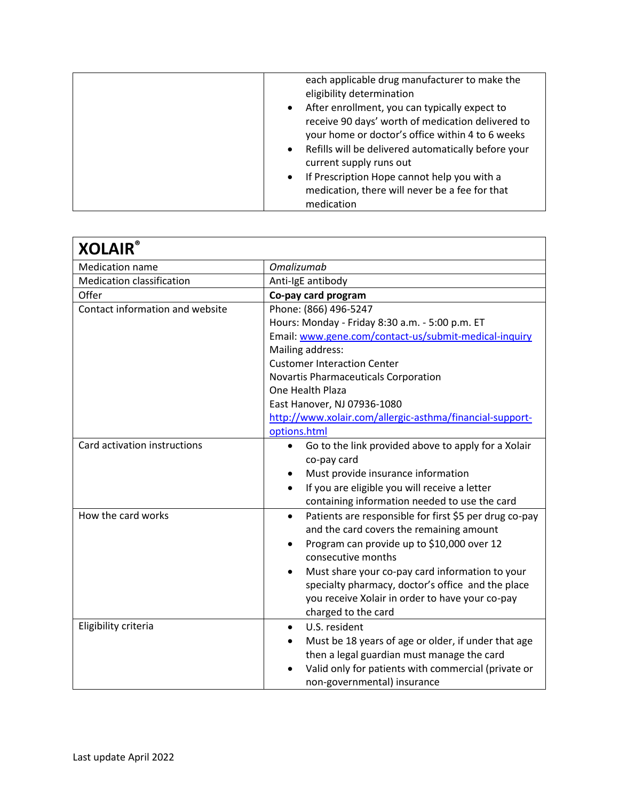|  | each applicable drug manufacturer to make the<br>eligibility determination<br>After enrollment, you can typically expect to<br>$\bullet$<br>receive 90 days' worth of medication delivered to<br>your home or doctor's office within 4 to 6 weeks<br>Refills will be delivered automatically before your<br>$\bullet$<br>current supply runs out<br>If Prescription Hope cannot help you with a<br>$\bullet$<br>medication, there will never be a fee for that<br>medication |
|--|------------------------------------------------------------------------------------------------------------------------------------------------------------------------------------------------------------------------------------------------------------------------------------------------------------------------------------------------------------------------------------------------------------------------------------------------------------------------------|
|--|------------------------------------------------------------------------------------------------------------------------------------------------------------------------------------------------------------------------------------------------------------------------------------------------------------------------------------------------------------------------------------------------------------------------------------------------------------------------------|

| <b>XOLAIR®</b>                   |                                                                                                                 |
|----------------------------------|-----------------------------------------------------------------------------------------------------------------|
| <b>Medication name</b>           | <b>Omalizumab</b>                                                                                               |
| <b>Medication classification</b> | Anti-IgE antibody                                                                                               |
| Offer                            | Co-pay card program                                                                                             |
| Contact information and website  | Phone: (866) 496-5247                                                                                           |
|                                  | Hours: Monday - Friday 8:30 a.m. - 5:00 p.m. ET                                                                 |
|                                  | Email: www.gene.com/contact-us/submit-medical-inquiry                                                           |
|                                  | Mailing address:                                                                                                |
|                                  | <b>Customer Interaction Center</b>                                                                              |
|                                  | Novartis Pharmaceuticals Corporation                                                                            |
|                                  | One Health Plaza                                                                                                |
|                                  | East Hanover, NJ 07936-1080                                                                                     |
|                                  | http://www.xolair.com/allergic-asthma/financial-support-                                                        |
|                                  | options.html                                                                                                    |
| Card activation instructions     | Go to the link provided above to apply for a Xolair<br>$\bullet$<br>co-pay card                                 |
|                                  | Must provide insurance information                                                                              |
|                                  | If you are eligible you will receive a letter<br>$\bullet$                                                      |
|                                  | containing information needed to use the card                                                                   |
| How the card works               | Patients are responsible for first \$5 per drug co-pay<br>$\bullet$<br>and the card covers the remaining amount |
|                                  | Program can provide up to \$10,000 over 12                                                                      |
|                                  | consecutive months                                                                                              |
|                                  | Must share your co-pay card information to your<br>٠                                                            |
|                                  | specialty pharmacy, doctor's office and the place                                                               |
|                                  | you receive Xolair in order to have your co-pay                                                                 |
|                                  | charged to the card                                                                                             |
| Eligibility criteria             | U.S. resident<br>$\bullet$                                                                                      |
|                                  | Must be 18 years of age or older, if under that age                                                             |
|                                  | then a legal guardian must manage the card                                                                      |
|                                  | Valid only for patients with commercial (private or                                                             |
|                                  | non-governmental) insurance                                                                                     |